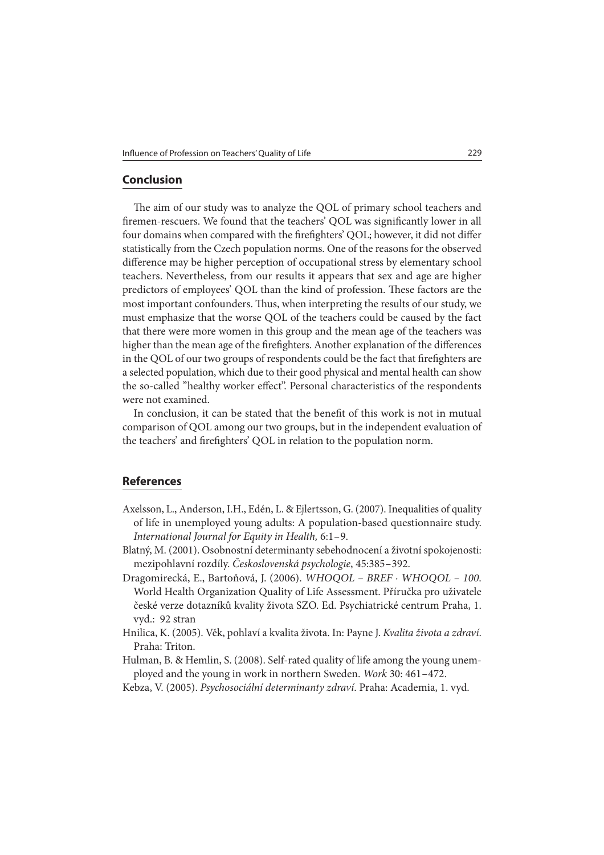## **Conclusion**

The aim of our study was to analyze the QOL of primary school teachers and firemen-rescuers. We found that the teachers' QOL was significantly lower in all four domains when compared with the firefighters' QOL; however, it did not differ statistically from the Czech population norms. One of the reasons for the observed difference may be higher perception of occupational stress by elementary school teachers. Nevertheless, from our results it appears that sex and age are higher predictors of employees' QOL than the kind of profession. These factors are the most important confounders. Thus, when interpreting the results of our study, we must emphasize that the worse QOL of the teachers could be caused by the fact that there were more women in this group and the mean age of the teachers was higher than the mean age of the firefighters. Another explanation of the differences in the QOL of our two groups of respondents could be the fact that firefighters are a selected population, which due to their good physical and mental health can show the so-called "healthy worker effect". Personal characteristics of the respondents were not examined.

In conclusion, it can be stated that the benefit of this work is not in mutual comparison of QOL among our two groups, but in the independent evaluation of the teachers' and firefighters' QOL in relation to the population norm.

## **References**

- Axelsson, L., Anderson, I.H., Edén, L. & Ejlertsson, G. (2007). Inequalities of quality of life in unemployed young adults: A population-based questionnaire study. International Journal for Equity in Health, 6:1 – 9.
- Blatný, M. (2001). Osobnostní determinanty sebehodnocení a životní spokojenosti: mezipohlavní rozdíly. Československá psychologie, 45:385 – 392.
- Dragomirecká, E., Bartoňová, J. (2006). WHOQOL BREF · WHOQOL 100. World Health Organization Quality of Life Assessment. Příručka pro uživatele české verze dotazníků kvality života SZO. Ed. Psychiatrické centrum Praha, 1. vyd.: 92 stran
- Hnilica, K. (2005). Věk, pohlaví a kvalita života. In: Payne J. Kvalita života a zdraví. Praha: Triton.
- Hulman, B. & Hemlin, S. (2008). Self-rated quality of life among the young unemployed and the young in work in northern Sweden. Work 30: 461 – 472.
- Kebza, V. (2005). Psychosociální determinanty zdraví. Praha: Academia, 1. vyd.